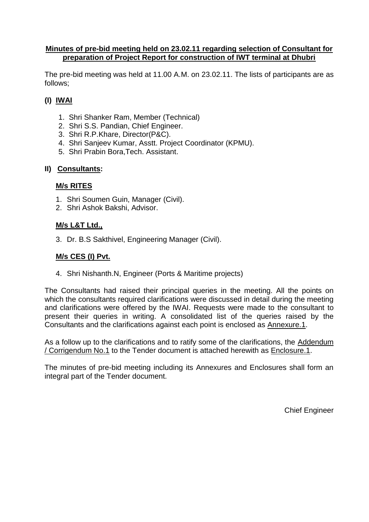#### **Minutes of pre-bid meeting held on 23.02.11 regarding selection of Consultant for preparation of Project Report for construction of IWT terminal at Dhubri**

The pre-bid meeting was held at 11.00 A.M. on 23.02.11. The lists of participants are as follows;

## **(I) IWAI**

- 1. Shri Shanker Ram, Member (Technical)
- 2. Shri S.S. Pandian, Chief Engineer.
- 3. Shri R.P.Khare, Director(P&C).
- 4. Shri Sanjeev Kumar, Asstt. Project Coordinator (KPMU).
- 5. Shri Prabin Bora,Tech. Assistant.

#### **II) Consultants:**

#### **M/s RITES**

- 1. Shri Soumen Guin, Manager (Civil).
- 2. Shri Ashok Bakshi, Advisor.

#### **M/s L&T Ltd.,**

3. Dr. B.S Sakthivel, Engineering Manager (Civil).

#### **M/s CES (I) Pvt.**

4. Shri Nishanth.N, Engineer (Ports & Maritime projects)

The Consultants had raised their principal queries in the meeting. All the points on which the consultants required clarifications were discussed in detail during the meeting and clarifications were offered by the IWAI. Requests were made to the consultant to present their queries in writing. A consolidated list of the queries raised by the Consultants and the clarifications against each point is enclosed as Annexure.1.

As a follow up to the clarifications and to ratify some of the clarifications, the Addendum / Corrigendum No.1 to the Tender document is attached herewith as Enclosure.1.

The minutes of pre-bid meeting including its Annexures and Enclosures shall form an integral part of the Tender document.

Chief Engineer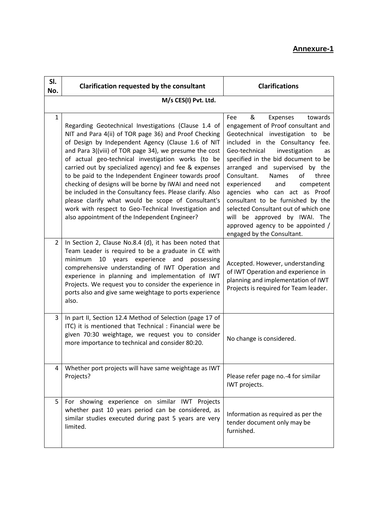# **Annexure-1**

| SI.<br>No.           | Clarification requested by the consultant                                                                                                                                                                                                                                                                                                                                                                                                                                                                                                                                                                                                                                                  | <b>Clarifications</b>                                                                                                                                                                                                                                                                                                                                                                                                                                                                                                                                         |  |  |
|----------------------|--------------------------------------------------------------------------------------------------------------------------------------------------------------------------------------------------------------------------------------------------------------------------------------------------------------------------------------------------------------------------------------------------------------------------------------------------------------------------------------------------------------------------------------------------------------------------------------------------------------------------------------------------------------------------------------------|---------------------------------------------------------------------------------------------------------------------------------------------------------------------------------------------------------------------------------------------------------------------------------------------------------------------------------------------------------------------------------------------------------------------------------------------------------------------------------------------------------------------------------------------------------------|--|--|
| M/s CES(I) Pvt. Ltd. |                                                                                                                                                                                                                                                                                                                                                                                                                                                                                                                                                                                                                                                                                            |                                                                                                                                                                                                                                                                                                                                                                                                                                                                                                                                                               |  |  |
| $\mathbf{1}$         | Regarding Geotechnical Investigations (Clause 1.4 of<br>NIT and Para 4(ii) of TOR page 36) and Proof Checking<br>of Design by Independent Agency (Clause 1.6 of NIT<br>and Para 3((viii) of TOR page 34), we presume the cost<br>of actual geo-technical investigation works (to be<br>carried out by specialized agency) and fee & expenses<br>to be paid to the Independent Engineer towards proof<br>checking of designs will be borne by IWAI and need not<br>be included in the Consultancy fees. Please clarify. Also<br>please clarify what would be scope of Consultant's<br>work with respect to Geo-Technical Investigation and<br>also appointment of the Independent Engineer? | Fee<br>&<br>towards<br>Expenses<br>engagement of Proof consultant and<br>Geotechnical investigation to<br>be<br>included in the Consultancy fee.<br>Geo-technical<br>investigation<br>as<br>specified in the bid document to be<br>arranged and supervised by the<br>Consultant.<br>Names<br>οf<br>three<br>experienced<br>and<br>competent<br>agencies who can act as Proof<br>consultant to be furnished by the<br>selected Consultant out of which one<br>will be approved by IWAI. The<br>approved agency to be appointed /<br>engaged by the Consultant. |  |  |
| $\overline{2}$       | In Section 2, Clause No.8.4 (d), it has been noted that<br>Team Leader is required to be a graduate in CE with<br>10 years experience and<br>minimum<br>possessing<br>comprehensive understanding of IWT Operation and<br>experience in planning and implementation of IWT<br>Projects. We request you to consider the experience in<br>ports also and give same weightage to ports experience<br>also.                                                                                                                                                                                                                                                                                    | Accepted. However, understanding<br>of IWT Operation and experience in<br>planning and implementation of IWT<br>Projects is required for Team leader.                                                                                                                                                                                                                                                                                                                                                                                                         |  |  |
| 3                    | In part II, Section 12.4 Method of Selection (page 17 of<br>ITC) it is mentioned that Technical : Financial were be<br>given 70:30 weightage, we request you to consider<br>more importance to technical and consider 80:20.                                                                                                                                                                                                                                                                                                                                                                                                                                                               | No change is considered.                                                                                                                                                                                                                                                                                                                                                                                                                                                                                                                                      |  |  |
| 4                    | Whether port projects will have same weightage as IWT<br>Projects?                                                                                                                                                                                                                                                                                                                                                                                                                                                                                                                                                                                                                         | Please refer page no.-4 for similar<br>IWT projects.                                                                                                                                                                                                                                                                                                                                                                                                                                                                                                          |  |  |
| 5                    | For showing experience on similar IWT Projects<br>whether past 10 years period can be considered, as<br>similar studies executed during past 5 years are very<br>limited.                                                                                                                                                                                                                                                                                                                                                                                                                                                                                                                  | Information as required as per the<br>tender document only may be<br>furnished.                                                                                                                                                                                                                                                                                                                                                                                                                                                                               |  |  |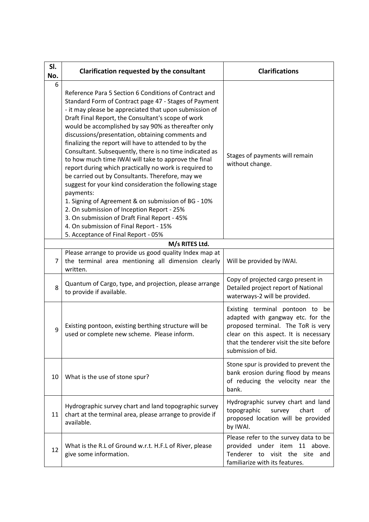| SI.<br>No.     | Clarification requested by the consultant                                                                                                                                                                                                                                                                                                                                                                                                                                                                                                                                                                                                                                                                                                                                                                                                                                                                                                         | <b>Clarifications</b>                                                                                                                                                                                                |
|----------------|---------------------------------------------------------------------------------------------------------------------------------------------------------------------------------------------------------------------------------------------------------------------------------------------------------------------------------------------------------------------------------------------------------------------------------------------------------------------------------------------------------------------------------------------------------------------------------------------------------------------------------------------------------------------------------------------------------------------------------------------------------------------------------------------------------------------------------------------------------------------------------------------------------------------------------------------------|----------------------------------------------------------------------------------------------------------------------------------------------------------------------------------------------------------------------|
| 6              | Reference Para 5 Section 6 Conditions of Contract and<br>Standard Form of Contract page 47 - Stages of Payment<br>- it may please be appreciated that upon submission of<br>Draft Final Report, the Consultant's scope of work<br>would be accomplished by say 90% as thereafter only<br>discussions/presentation, obtaining comments and<br>finalizing the report will have to attended to by the<br>Consultant. Subsequently, there is no time indicated as<br>to how much time IWAI will take to approve the final<br>report during which practically no work is required to<br>be carried out by Consultants. Therefore, may we<br>suggest for your kind consideration the following stage<br>payments:<br>1. Signing of Agreement & on submission of BG - 10%<br>2. On submission of Inception Report - 25%<br>3. On submission of Draft Final Report - 45%<br>4. On submission of Final Report - 15%<br>5. Acceptance of Final Report - 05% | Stages of payments will remain<br>without change.                                                                                                                                                                    |
|                | M/s RITES Ltd.                                                                                                                                                                                                                                                                                                                                                                                                                                                                                                                                                                                                                                                                                                                                                                                                                                                                                                                                    |                                                                                                                                                                                                                      |
| $\overline{7}$ | Please arrange to provide us good quality Index map at<br>the terminal area mentioning all dimension clearly<br>written.                                                                                                                                                                                                                                                                                                                                                                                                                                                                                                                                                                                                                                                                                                                                                                                                                          | Will be provided by IWAI.                                                                                                                                                                                            |
| 8              | Quantum of Cargo, type, and projection, please arrange<br>to provide if available.                                                                                                                                                                                                                                                                                                                                                                                                                                                                                                                                                                                                                                                                                                                                                                                                                                                                | Copy of projected cargo present in<br>Detailed project report of National<br>waterways-2 will be provided.                                                                                                           |
| 9              | Existing pontoon, existing berthing structure will be<br>used or complete new scheme. Please inform.                                                                                                                                                                                                                                                                                                                                                                                                                                                                                                                                                                                                                                                                                                                                                                                                                                              | Existing terminal pontoon to be<br>adapted with gangway etc. for the<br>proposed terminal. The ToR is very<br>clear on this aspect. It is necessary<br>that the tenderer visit the site before<br>submission of bid. |
| 10             | What is the use of stone spur?                                                                                                                                                                                                                                                                                                                                                                                                                                                                                                                                                                                                                                                                                                                                                                                                                                                                                                                    | Stone spur is provided to prevent the<br>bank erosion during flood by means<br>of reducing the velocity near the<br>bank.                                                                                            |
| 11             | Hydrographic survey chart and land topographic survey<br>chart at the terminal area, please arrange to provide if<br>available.                                                                                                                                                                                                                                                                                                                                                                                                                                                                                                                                                                                                                                                                                                                                                                                                                   | Hydrographic survey chart and land<br>topographic<br>survey<br>chart<br>οf<br>proposed location will be provided<br>by IWAI.                                                                                         |
| 12             | What is the R.L of Ground w.r.t. H.F.L of River, please<br>give some information.                                                                                                                                                                                                                                                                                                                                                                                                                                                                                                                                                                                                                                                                                                                                                                                                                                                                 | Please refer to the survey data to be<br>under item 11 above.<br>provided<br>Tenderer<br>to visit the site and<br>familiarize with its features.                                                                     |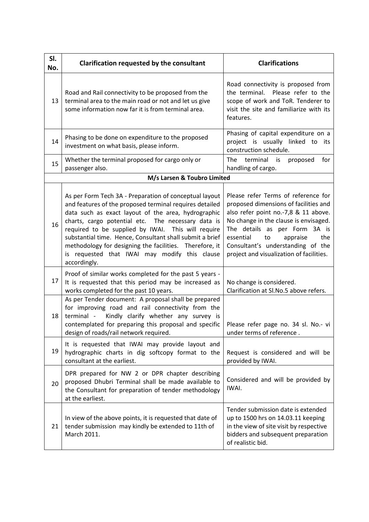| SI.<br>No.                  | Clarification requested by the consultant                                                                                                                                                                                                                                                                                                                                                                                                                                    | <b>Clarifications</b>                                                                                                                                                                                                                                                                                                 |  |  |
|-----------------------------|------------------------------------------------------------------------------------------------------------------------------------------------------------------------------------------------------------------------------------------------------------------------------------------------------------------------------------------------------------------------------------------------------------------------------------------------------------------------------|-----------------------------------------------------------------------------------------------------------------------------------------------------------------------------------------------------------------------------------------------------------------------------------------------------------------------|--|--|
| 13                          | Road and Rail connectivity to be proposed from the<br>terminal area to the main road or not and let us give<br>some information now far it is from terminal area.                                                                                                                                                                                                                                                                                                            | Road connectivity is proposed from<br>the terminal. Please refer to the<br>scope of work and ToR. Tenderer to<br>visit the site and familiarize with its<br>features.                                                                                                                                                 |  |  |
| 14                          | Phasing to be done on expenditure to the proposed<br>investment on what basis, please inform.                                                                                                                                                                                                                                                                                                                                                                                | Phasing of capital expenditure on a<br>project is usually linked to its<br>construction schedule.                                                                                                                                                                                                                     |  |  |
| 15                          | Whether the terminal proposed for cargo only or<br>passenger also.                                                                                                                                                                                                                                                                                                                                                                                                           | terminal<br>The<br>for<br>is<br>proposed<br>handling of cargo.                                                                                                                                                                                                                                                        |  |  |
| M/s Larsen & Toubro Limited |                                                                                                                                                                                                                                                                                                                                                                                                                                                                              |                                                                                                                                                                                                                                                                                                                       |  |  |
| 16                          | As per Form Tech 3A - Preparation of conceptual layout<br>and features of the proposed terminal requires detailed<br>data such as exact layout of the area, hydrographic<br>charts, cargo potential etc. The necessary data is<br>required to be supplied by IWAI. This will require<br>substantial time. Hence, Consultant shall submit a brief<br>methodology for designing the facilities. Therefore, it<br>is requested that IWAI may modify this clause<br>accordingly. | Please refer Terms of reference for<br>proposed dimensions of facilities and<br>also refer point no.-7,8 & 11 above.<br>No change in the clause is envisaged.<br>The details as per Form 3A is<br>essential<br>appraise<br>the<br>to<br>Consultant's understanding of the<br>project and visualization of facilities. |  |  |
| 17                          | Proof of similar works completed for the past 5 years -<br>It is requested that this period may be increased as<br>works completed for the past 10 years.                                                                                                                                                                                                                                                                                                                    | No change is considered.<br>Clarification at Sl.No.5 above refers.                                                                                                                                                                                                                                                    |  |  |
| 18                          | As per Tender document: A proposal shall be prepared<br>for improving road and rail connectivity from the<br>Kindly clarify whether any survey is<br>terminal -<br>contemplated for preparing this proposal and specific<br>design of roads/rail network required.                                                                                                                                                                                                           | Please refer page no. 34 sl. No.- vi<br>under terms of reference.                                                                                                                                                                                                                                                     |  |  |
| 19                          | It is requested that IWAI may provide layout and<br>hydrographic charts in dig softcopy format to the<br>consultant at the earliest.                                                                                                                                                                                                                                                                                                                                         | Request is considered and will be<br>provided by IWAI.                                                                                                                                                                                                                                                                |  |  |
| 20                          | DPR prepared for NW 2 or DPR chapter describing<br>proposed Dhubri Terminal shall be made available to<br>the Consultant for preparation of tender methodology<br>at the earliest.                                                                                                                                                                                                                                                                                           | Considered and will be provided by<br>IWAI.                                                                                                                                                                                                                                                                           |  |  |
| 21                          | In view of the above points, it is requested that date of<br>tender submission may kindly be extended to 11th of<br>March 2011.                                                                                                                                                                                                                                                                                                                                              | Tender submission date is extended<br>up to 1500 hrs on 14.03.11 keeping<br>in the view of site visit by respective<br>bidders and subsequent preparation<br>of realistic bid.                                                                                                                                        |  |  |